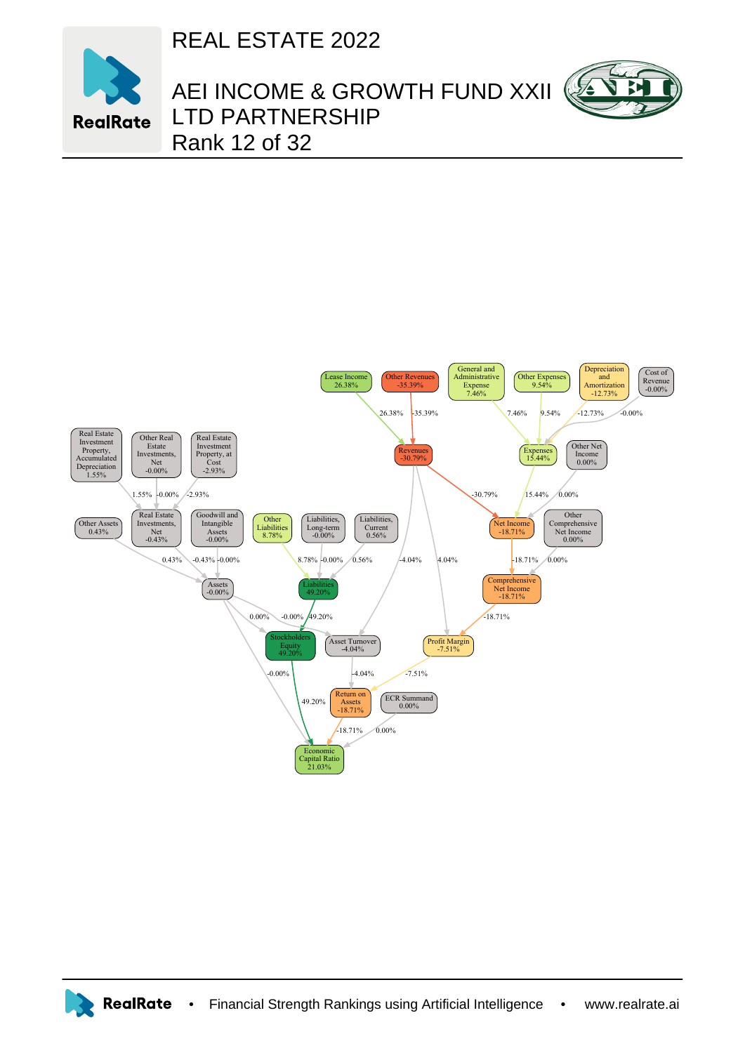REAL ESTATE 2022



## AEI INCOME & GROWTH FUND XXII LTD PARTNERSHIP Rank 12 of 32